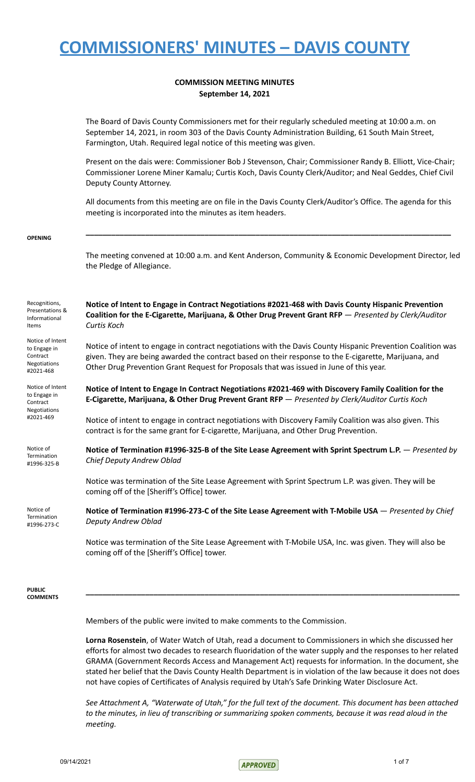### **COMMISSION MEETING MINUTES September 14, 2021**

The Board of Davis County Commissioners met for their regularly scheduled meeting at 10:00 a.m. on September 14, 2021, in room 303 of the Davis County Administration Building, 61 South Main Street, Farmington, Utah. Required legal notice of this meeting was given.

Present on the dais were: Commissioner Bob J Stevenson, Chair; Commissioner Randy B. Elliott, Vice-Chair; Commissioner Lorene Miner Kamalu; Curtis Koch, Davis County Clerk/Auditor; and Neal Geddes, Chief Civil Deputy County Attorney.

All documents from this meeting are on file in the Davis County Clerk/Auditor's Office. The agenda for this meeting is incorporated into the minutes as item headers.

**\_\_\_\_\_\_\_\_\_\_\_\_\_\_\_\_\_\_\_\_\_\_\_\_\_\_\_\_\_\_\_\_\_\_\_\_\_\_\_\_\_\_\_\_\_\_\_\_\_\_\_\_\_\_\_\_\_\_\_\_\_\_\_\_\_\_\_\_\_\_\_\_\_\_\_\_\_\_\_\_\_\_\_\_\_\_**

#### **OPENING**

The meeting convened at 10:00 a.m. and Kent Anderson, Community & Economic Development Director, led the Pledge of Allegiance.

Recognitions, Presentations & Informational Items Notice of Intent to Engage in Contract Negotiations #2021-468 **Notice of Intent to Engage in Contract Negotiations #2021-468 with Davis County Hispanic Prevention Coalition for the E-Cigarette, Marijuana, & Other Drug Prevent Grant RFP** — *Presented by Clerk/Auditor Curtis Koch* Notice of intent to engage in contract negotiations with the Davis County Hispanic Prevention Coalition was given. They are being awarded the contract based on their response to the E-cigarette, Marijuana, and Other Drug Prevention Grant Request for Proposals that was issued in June of this year. Notice of Intent to Engage in Contract Negotiations #2021-469 **Notice of Intent to Engage In Contract Negotiations #2021-469 with Discovery Family Coalition for the E-Cigarette, Marijuana, & Other Drug Prevent Grant RFP** — *Presented by Clerk/Auditor Curtis Koch* Notice of intent to engage in contract negotiations with Discovery Family Coalition was also given. This contract is for the same grant for E-cigarette, Marijuana, and Other Drug Prevention. Notice of **Termination** #1996-325-B **Notice of Termination #1996-325-B of the Site Lease Agreement with Sprint Spectrum L.P.** — *Presented by Chief Deputy Andrew Oblad* Notice was termination of the Site Lease Agreement with Sprint Spectrum L.P. was given. They will be coming off of the [Sheriff's Office] tower. Notice of **Termination** #1996-273-C **Notice of Termination #1996-273-C of the Site Lease Agreement with T-Mobile USA** — *Presented by Chief Deputy Andrew Oblad* Notice was termination of the Site Lease Agreement with T-Mobile USA, Inc. was given. They will also be coming off of the [Sheriff's Office] tower. **PUBLIC COMMENTS \_\_\_\_\_\_\_\_\_\_\_\_\_\_\_\_\_\_\_\_\_\_\_\_\_\_\_\_\_\_\_\_\_\_\_\_\_\_\_\_\_\_\_\_\_\_\_\_\_\_\_\_\_\_\_\_\_\_\_\_\_\_\_\_\_\_\_\_\_\_\_\_\_\_\_\_\_\_\_\_\_\_\_\_\_\_\_\_**

Members of the public were invited to make comments to the Commission.

**Lorna Rosenstein**, of Water Watch of Utah, read a document to Commissioners in which she discussed her efforts for almost two decades to research fluoridation of the water supply and the responses to her related GRAMA (Government Records Access and Management Act) requests for information. In the document, she stated her belief that the Davis County Health Department is in violation of the law because it does not does not have copies of Certificates of Analysis required by Utah's Safe Drinking Water Disclosure Act.

See Attachment A, "Waterwate of Utah," for the full text of the document. This document has been attached to the minutes, in lieu of transcribing or summarizing spoken comments, because it was read aloud in the *meeting.*

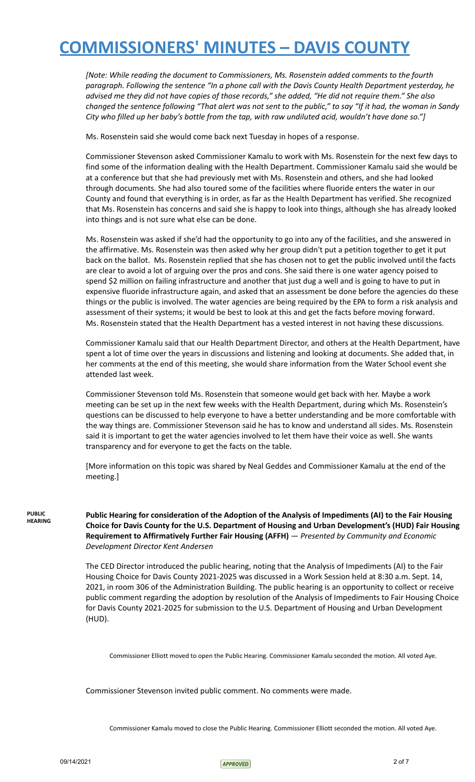*[Note: While reading the document to Commissioners, Ms. Rosenstein added comments to the fourth paragraph. Following the sentence "In a phone call with the Davis County Health Department yesterday, he* advised me they did not have copies of those records," she added, "He did not require them." She also changed the sentence following "That alert was not sent to the public," to say "If it had, the woman in Sandy City who filled up her baby's bottle from the tap, with raw undiluted acid, wouldn't have done so."]

Ms. Rosenstein said she would come back next Tuesday in hopes of a response.

Commissioner Stevenson asked Commissioner Kamalu to work with Ms. Rosenstein for the next few days to find some of the information dealing with the Health Department. Commissioner Kamalu said she would be at a conference but that she had previously met with Ms. Rosenstein and others, and she had looked through documents. She had also toured some of the facilities where fluoride enters the water in our County and found that everything is in order, as far as the Health Department has verified. She recognized that Ms. Rosenstein has concerns and said she is happy to look into things, although she has already looked into things and is not sure what else can be done.

Ms. Rosenstein was asked if she'd had the opportunity to go into any of the facilities, and she answered in the affirmative. Ms. Rosenstein was then asked why her group didn't put a petition together to get it put back on the ballot. Ms. Rosenstein replied that she has chosen not to get the public involved until the facts are clear to avoid a lot of arguing over the pros and cons. She said there is one water agency poised to spend \$2 million on failing infrastructure and another that just dug a well and is going to have to put in expensive fluoride infrastructure again, and asked that an assessment be done before the agencies do these things or the public is involved. The water agencies are being required by the EPA to form a risk analysis and assessment of their systems; it would be best to look at this and get the facts before moving forward. Ms. Rosenstein stated that the Health Department has a vested interest in not having these discussions.

Commissioner Kamalu said that our Health Department Director, and others at the Health Department, have spent a lot of time over the years in discussions and listening and looking at documents. She added that, in her comments at the end of this meeting, she would share information from the Water School event she attended last week.

Commissioner Stevenson told Ms. Rosenstein that someone would get back with her. Maybe a work meeting can be set up in the next few weeks with the Health Department, during which Ms. Rosenstein's questions can be discussed to help everyone to have a better understanding and be more comfortable with the way things are. Commissioner Stevenson said he has to know and understand all sides. Ms. Rosenstein said it is important to get the water agencies involved to let them have their voice as well. She wants transparency and for everyone to get the facts on the table.

[More information on this topic was shared by Neal Geddes and Commissioner Kamalu at the end of the meeting.]

**PUBLIC HEARING**

**Public Hearing for consideration of the Adoption of the Analysis of Impediments (AI) to the Fair Housing Choice for Davis County for the U.S. Department of Housing and Urban Development's (HUD) Fair Housing Requirement to Affirmatively Further Fair Housing (AFFH)** — *Presented by Community and Economic Development Director Kent Andersen*

The CED Director introduced the public hearing, noting that the Analysis of Impediments (AI) to the Fair Housing Choice for Davis County 2021-2025 was discussed in a Work Session held at 8:30 a.m. Sept. 14, 2021, in room 306 of the Administration Building. The public hearing is an opportunity to collect or receive public comment regarding the adoption by resolution of the Analysis of Impediments to Fair Housing Choice for Davis County 2021-2025 for submission to the U.S. Department of Housing and Urban Development (HUD).

Commissioner Elliott moved to open the Public Hearing. Commissioner Kamalu seconded the motion. All voted Aye.

Commissioner Stevenson invited public comment. No comments were made.

Commissioner Kamalu moved to close the Public Hearing. Commissioner Elliott seconded the motion. All voted Aye.

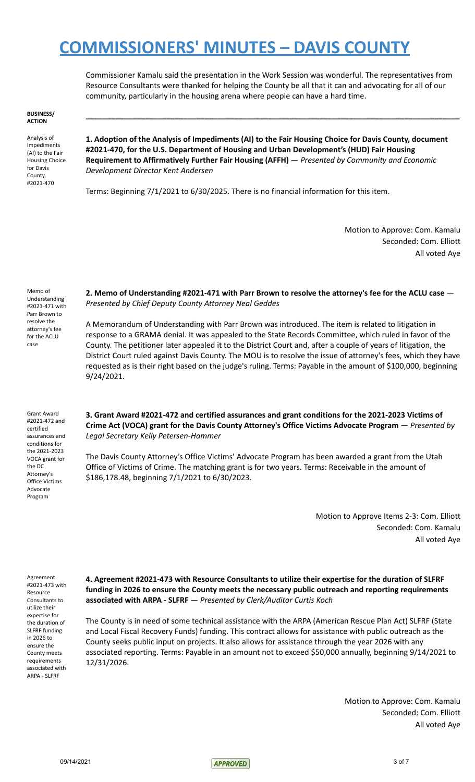Commissioner Kamalu said the presentation in the Work Session was wonderful. The representatives from Resource Consultants were thanked for helping the County be all that it can and advocating for all of our community, particularly in the housing arena where people can have a hard time.

**\_\_\_\_\_\_\_\_\_\_\_\_\_\_\_\_\_\_\_\_\_\_\_\_\_\_\_\_\_\_\_\_\_\_\_\_\_\_\_\_\_\_\_\_\_\_\_\_\_\_\_\_\_\_\_\_\_\_\_\_\_\_\_\_\_\_\_\_\_\_\_\_\_\_\_\_\_\_\_\_\_\_\_\_\_\_\_\_**

#### **BUSINESS/ ACTION**

Analysis of Impediments (AI) to the Fair Housing Choice for Davis County, #2021-470

**1. Adoption of the Analysis of Impediments (AI) to the Fair Housing Choice for Davis County, document #2021-470, for the U.S. Department of Housing and Urban Development's (HUD) Fair Housing Requirement to Affirmatively Further Fair Housing (AFFH)** — *Presented by Community and Economic Development Director Kent Andersen*

Terms: Beginning 7/1/2021 to 6/30/2025. There is no financial information for this item.

Motion to Approve: Com. Kamalu Seconded: Com. Elliott All voted Aye

Memo of Understanding #2021-471 with Parr Brown to resolve the attorney's fee for the ACLU case

Grant Award #2021-472 and certified assurances and conditions for the 2021-2023 VOCA grant for the DC Attorney's Office Victims Advocate Program

**2. Memo of Understanding #2021-471 with Parr Brown to resolve the attorney's fee for the ACLU case** — *Presented by Chief Deputy County Attorney Neal Geddes*

A Memorandum of Understanding with Parr Brown was introduced. The item is related to litigation in response to a GRAMA denial. It was appealed to the State Records Committee, which ruled in favor of the County. The petitioner later appealed it to the District Court and, after a couple of years of litigation, the District Court ruled against Davis County. The MOU is to resolve the issue of attorney's fees, which they have requested as is their right based on the judge's ruling. Terms: Payable in the amount of \$100,000, beginning 9/24/2021.

**3. Grant Award #2021-472 and certified assurances and grant conditions for the 2021-2023 Victims of Crime Act (VOCA) grant for the Davis County Attorney's Office Victims Advocate Program** — *Presented by Legal Secretary Kelly Petersen-Hammer*

The Davis County Attorney's Office Victims' Advocate Program has been awarded a grant from the Utah Office of Victims of Crime. The matching grant is for two years. Terms: Receivable in the amount of \$186,178.48, beginning 7/1/2021 to 6/30/2023.

> Motion to Approve Items 2-3: Com. Elliott Seconded: Com. Kamalu All voted Aye

Agreement #2021-473 with Resource Consultants to utilize their expertise for the duration of SLFRF funding in 2026 to ensure the County meets requirements associated with ARPA - SLFRF

**4. Agreement #2021-473 with Resource Consultants to utilize their expertise for the duration of SLFRF funding in 2026 to ensure the County meets the necessary public outreach and reporting requirements associated with ARPA - SLFRF** — *Presented by Clerk/Auditor Curtis Koch*

The County is in need of some technical assistance with the ARPA (American Rescue Plan Act) SLFRF (State and Local Fiscal Recovery Funds) funding. This contract allows for assistance with public outreach as the County seeks public input on projects. It also allows for assistance through the year 2026 with any associated reporting. Terms: Payable in an amount not to exceed \$50,000 annually, beginning 9/14/2021 to 12/31/2026.

> Motion to Approve: Com. Kamalu Seconded: Com. Elliott All voted Aye

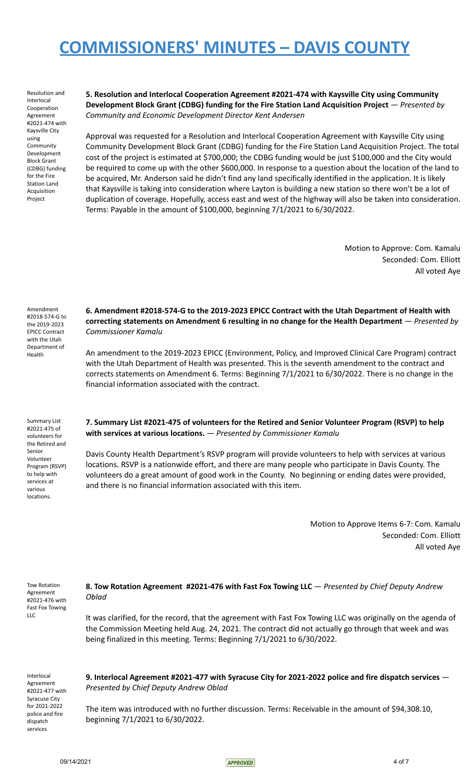Resolution and Interlocal Cooperation Agreement #2021-474 with Kaysville City using Community Development Block Grant (CDBG) funding for the Fire Station Land Acquisition Project

**5. Resolution and Interlocal Cooperation Agreement #2021-474 with Kaysville City using Community Development Block Grant (CDBG) funding for the Fire Station Land Acquisition Project** — *Presented by Community and Economic Development Director Kent Andersen*

Approval was requested for a Resolution and Interlocal Cooperation Agreement with Kaysville City using Community Development Block Grant (CDBG) funding for the Fire Station Land Acquisition Project. The total cost of the project is estimated at \$700,000; the CDBG funding would be just \$100,000 and the City would be required to come up with the other \$600,000. In response to a question about the location of the land to be acquired, Mr. Anderson said he didn't find any land specifically identified in the application. It is likely that Kaysville is taking into consideration where Layton is building a new station so there won't be a lot of duplication of coverage. Hopefully, access east and west of the highway will also be taken into consideration. Terms: Payable in the amount of \$100,000, beginning 7/1/2021 to 6/30/2022.

> Motion to Approve: Com. Kamalu Seconded: Com. Elliott All voted Aye

Amendment #2018-574-G to the 2019-2023 EPICC Contract with the Utah Department of Health

Summary List #2021-475 of volunteers for the Retired and Senior Volunteer Program (RSVP) to help with services at various locations.

**6. Amendment #2018-574-G to the 2019-2023 EPICC Contract with the Utah Department of Health with correcting statements on Amendment 6 resulting in no change for the Health Department** — *Presented by Commissioner Kamalu*

An amendment to the 2019-2023 EPICC (Environment, Policy, and Improved Clinical Care Program) contract with the Utah Department of Health was presented. This is the seventh amendment to the contract and corrects statements on Amendment 6. Terms: Beginning 7/1/2021 to 6/30/2022. There is no change in the financial information associated with the contract.

**7. Summary List #2021-475 of volunteers for the Retired and Senior Volunteer Program (RSVP) to help with services at various locations.** — *Presented by Commissioner Kamalu*

Davis County Health Department's RSVP program will provide volunteers to help with services at various locations. RSVP is a nationwide effort, and there are many people who participate in Davis County. The volunteers do a great amount of good work in the County. No beginning or ending dates were provided, and there is no financial information associated with this item.

> Motion to Approve Items 6-7: Com. Kamalu Seconded: Com. Elliott All voted Aye

Tow Rotation Agreement #2021-476 with Fast Fox Towing LLC

### **8. Tow Rotation Agreement #2021-476 with Fast Fox Towing LLC** — *Presented by Chief Deputy Andrew Oblad*

It was clarified, for the record, that the agreement with Fast Fox Towing LLC was originally on the agenda of the Commission Meeting held Aug. 24, 2021. The contract did not actually go through that week and was being finalized in this meeting. Terms: Beginning 7/1/2021 to 6/30/2022.

Interlocal Agreement #2021-477 with Syracuse City for 2021-2022 police and fire dispatch services

**9. Interlocal Agreement #2021-477 with Syracuse City for 2021-2022 police and fire dispatch services** — *Presented by Chief Deputy Andrew Oblad*

The item was introduced with no further discussion. Terms: Receivable in the amount of \$94,308.10, beginning 7/1/2021 to 6/30/2022.

09/14/2021 4 of 7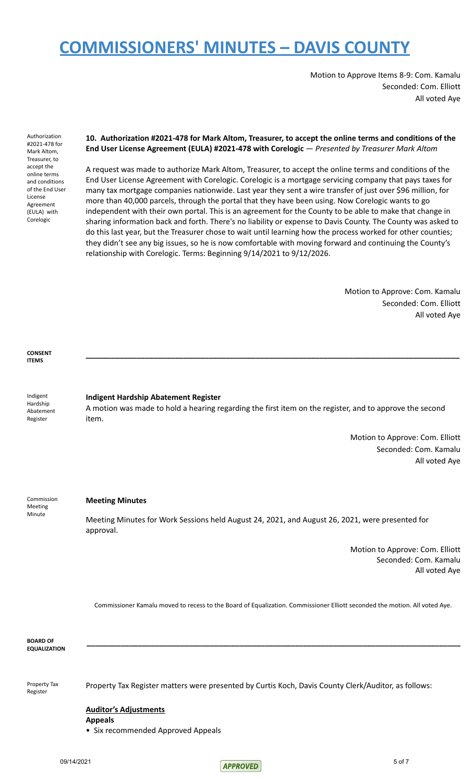Motion to Approve Items 8-9: Com. Kamalu Seconded: Com. Elliott All voted Aye

Authorization #2021-478 for Mark Altom, Treasurer, to accept the online terms and conditions of the End User License Agreement (EULA) with Corelogic

### **10. Authorization #2021-478 for Mark Altom, Treasurer, to accept the online terms and conditions of the End User License Agreement (EULA) #2021-478 with Corelogic** — *Presented by Treasurer Mark Altom*

A request was made to authorize Mark Altom, Treasurer, to accept the online terms and conditions of the End User License Agreement with Corelogic. Corelogic is a mortgage servicing company that pays taxes for many tax mortgage companies nationwide. Last year they sent a wire transfer of just over \$96 million, for more than 40,000 parcels, through the portal that they have been using. Now Corelogic wants to go independent with their own portal. This is an agreement for the County to be able to make that change in sharing information back and forth. There's no liability or expense to Davis County. The County was asked to do this last year, but the Treasurer chose to wait until learning how the process worked for other counties; they didn't see any big issues, so he is now comfortable with moving forward and continuing the County's relationship with Corelogic. Terms: Beginning 9/14/2021 to 9/12/2026.

> Motion to Approve: Com. Kamalu Seconded: Com. Elliott All voted Aye

**CONSENT ITEMS**

Indigent Hardship Abatement Register

#### **Indigent Hardship Abatement Register**

A motion was made to hold a hearing regarding the first item on the register, and to approve the second item.

**\_\_\_\_\_\_\_\_\_\_\_\_\_\_\_\_\_\_\_\_\_\_\_\_\_\_\_\_\_\_\_\_\_\_\_\_\_\_\_\_\_\_\_\_\_\_\_\_\_\_\_\_\_\_\_\_\_\_\_\_\_\_\_\_\_\_\_\_\_\_\_\_\_\_\_\_\_\_\_\_\_\_\_\_\_\_\_\_**

Motion to Approve: Com. Elliott Seconded: Com. Kamalu All voted Aye

Commission Meeting Minute

### **Meeting Minutes**

Meeting Minutes for Work Sessions held August 24, 2021, and August 26, 2021, were presented for approval.

> Motion to Approve: Com. Elliott Seconded: Com. Kamalu All voted Aye

Commissioner Kamalu moved to recess to the Board of Equalization. Commissioner Elliott seconded the motion. All voted Aye.

**\_\_\_\_\_\_\_\_\_\_\_\_\_\_\_\_\_\_\_\_\_\_\_\_\_\_\_\_\_\_\_\_\_\_\_\_\_\_\_\_\_\_\_\_\_\_\_\_\_\_\_\_\_\_\_\_\_\_\_\_\_\_\_\_\_\_\_\_\_\_\_\_\_\_\_\_\_\_\_\_\_\_\_\_\_\_\_\_**

**BOARD OF EQUALIZATION**

Property Tax Register

Property Tax Register matters were presented by Curtis Koch, Davis County Clerk/Auditor, as follows:

### **Auditor's Adjustments**

**Appeals**

• Six recommended Approved Appeals

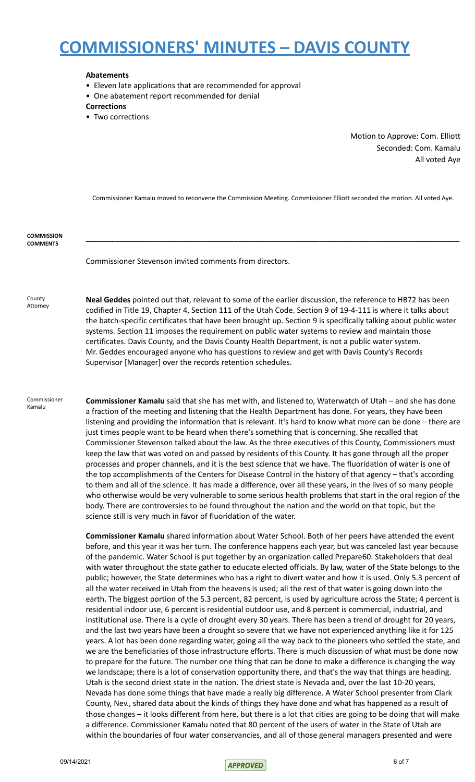#### **Abatements**

- Eleven late applications that are recommended for approval
- One abatement report recommended for denial

#### **Corrections**

• Two corrections

Motion to Approve: Com. Elliott Seconded: Com. Kamalu All voted Aye

Commissioner Kamalu moved to reconvene the Commission Meeting. Commissioner Elliott seconded the motion. All voted Aye.

**\_\_\_\_\_\_\_\_\_\_\_\_\_\_\_\_\_\_\_\_\_\_\_\_\_\_\_\_\_\_\_\_\_\_\_\_\_\_\_\_\_\_\_\_\_\_\_\_\_\_\_\_\_\_\_\_\_\_\_\_\_\_\_\_\_\_\_\_\_\_\_\_\_\_\_\_\_\_\_\_\_\_\_\_\_\_\_\_**

**COMMISSION COMMENTS**

Commissioner Stevenson invited comments from directors.

**County** Attorney **Neal Geddes** pointed out that, relevant to some of the earlier discussion, the reference to HB72 has been codified in Title 19, Chapter 4, Section 111 of the Utah Code. Section 9 of 19-4-111 is where it talks about the batch-specific certificates that have been brought up. Section 9 is specifically talking about public water systems. Section 11 imposes the requirement on public water systems to review and maintain those certificates. Davis County, and the Davis County Health Department, is not a public water system. Mr. Geddes encouraged anyone who has questions to review and get with Davis County's Records Supervisor [Manager] over the records retention schedules.

Commissioner Kamalu

**Commissioner Kamalu** said that she has met with, and listened to, Waterwatch of Utah – and she has done a fraction of the meeting and listening that the Health Department has done. For years, they have been listening and providing the information that is relevant. It's hard to know what more can be done – there are just times people want to be heard when there's something that is concerning. She recalled that Commissioner Stevenson talked about the law. As the three executives of this County, Commissioners must keep the law that was voted on and passed by residents of this County. It has gone through all the proper processes and proper channels, and it is the best science that we have. The fluoridation of water is one of the top accomplishments of the Centers for Disease Control in the history of that agency – that's according to them and all of the science. It has made a difference, over all these years, in the lives of so many people who otherwise would be very vulnerable to some serious health problems that start in the oral region of the body. There are controversies to be found throughout the nation and the world on that topic, but the science still is very much in favor of fluoridation of the water.

**Commissioner Kamalu** shared information about Water School. Both of her peers have attended the event before, and this year it was her turn. The conference happens each year, but was canceled last year because of the pandemic. Water School is put together by an organization called Prepare60. Stakeholders that deal with water throughout the state gather to educate elected officials. By law, water of the State belongs to the public; however, the State determines who has a right to divert water and how it is used. Only 5.3 percent of all the water received in Utah from the heavens is used; all the rest of that water is going down into the earth. The biggest portion of the 5.3 percent, 82 percent, is used by agriculture across the State; 4 percent is residential indoor use, 6 percent is residential outdoor use, and 8 percent is commercial, industrial, and institutional use. There is a cycle of drought every 30 years. There has been a trend of drought for 20 years, and the last two years have been a drought so severe that we have not experienced anything like it for 125 years. A lot has been done regarding water, going all the way back to the pioneers who settled the state, and we are the beneficiaries of those infrastructure efforts. There is much discussion of what must be done now to prepare for the future. The number one thing that can be done to make a difference is changing the way we landscape; there is a lot of conservation opportunity there, and that's the way that things are heading. Utah is the second driest state in the nation. The driest state is Nevada and, over the last 10-20 years, Nevada has done some things that have made a really big difference. A Water School presenter from Clark County, Nev., shared data about the kinds of things they have done and what has happened as a result of those changes – it looks different from here, but there is a lot that cities are going to be doing that will make a difference. Commissioner Kamalu noted that 80 percent of the users of water in the State of Utah are within the boundaries of four water conservancies, and all of those general managers presented and were